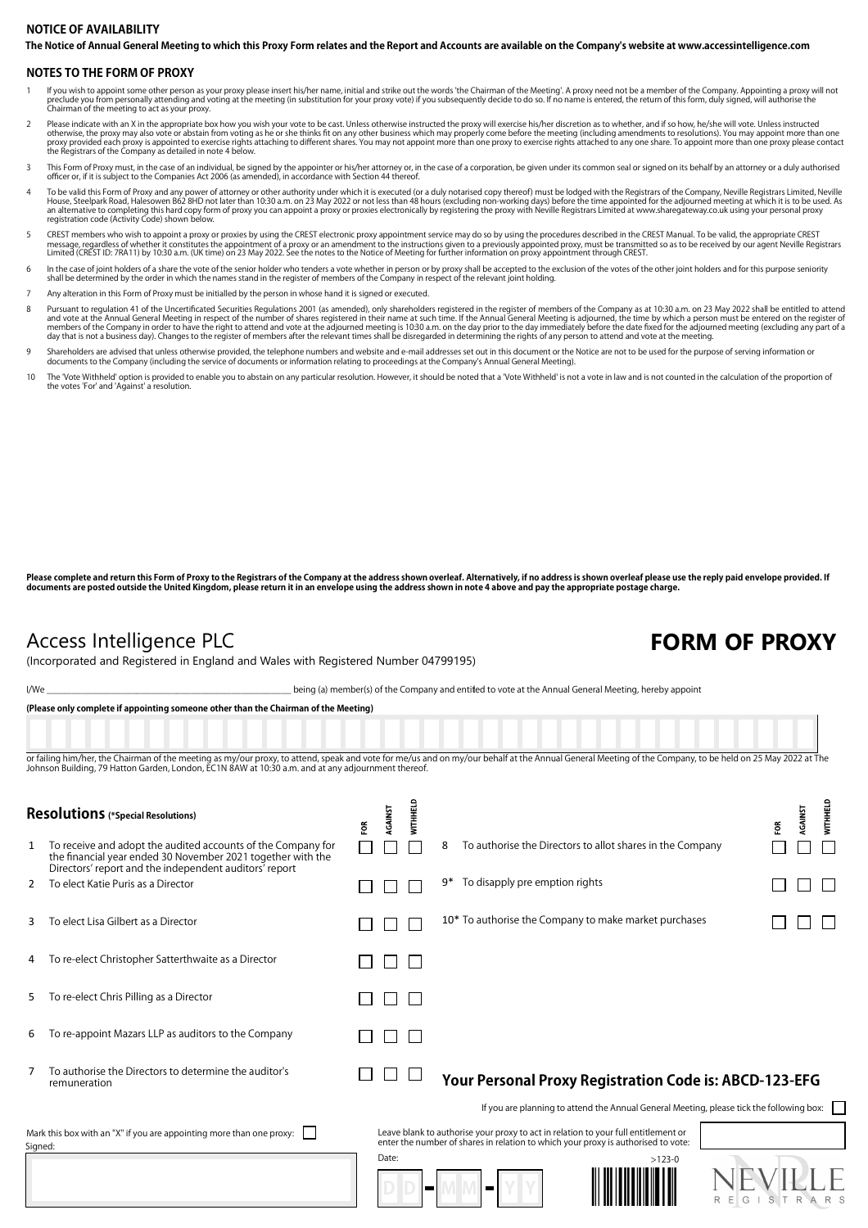## **The Notice of Annual General Meeting to which this Proxy Form relates and the Report and Accounts are available on the Company's website at www.accessintelligence.com NOTICE OF AVAILABILITY**

### **NOTES TO THE FORM OF PROXY**

- lf you wish to appoint some other person as your proxy please insert his/her name, initial and strike out the words 'the Chairman of the Meeting'. A proxy need not be a member of the Company. Appointing a proxy will not th preclude you from personally acted and you with Chairman of the meeting to act as your proxy.
- Please indicate with an X in the appropriate box how you wish your vote to be cast. Unless otherwise instructed the proxy will exercise his/her discretion as to whether, and if so how, he/she will vote. Unless instructed o
- This Form of Proxy must, in the case of an individual, be signed by the appointer or his/her attorney or, in the case of a corporation, be given under its common seal or signed on its behalf by an attorney or a duly author
- To be valid this Form of Proxy and any power of attorney or other authority under which it is executed (or a duly notarised copy thereof) must be lodged with the Registrars of the Company, Neville Registrars Limited, Nevil
- CREST members who wish to appoint a proxy or proxies by using the CREST electronic proxy appointment service may do so by using the procedures described in the CREST Manual. To be valid, the appropriate CREST (SEST) massag
- h the case of joint holders of a share the vote of the senior holder who tenders a vote whether in person or by proxy shall be accepted to the exclusion of the votes of the other joint holders and for this purpose seniorit
- 7 Any alteration in this Form of Proxy must be initialled by the person in whose hand it is signed or executed.
- Pursuant to regulation 41 of the Uncertificated Securities Regulations 2001 (as amended), only shareholders registered in the register of members of the Company as at 10:30 a.m. on 23 May 2022 shall be entitled to attend t day that is not a business day). Changes to the register of members after the relevant times shall be disregarded in determining the rights of any person to attend and vote at the meeting.
- 9 Shareholders are advised that unless otherwise provided, the telephone numbers and website and e-mail addresses set out in this document or the Notice are not to be used for the purpose of serving information or<br>document
- 10 The 'Vote Withheld' option is provided to enable you to abstain on any particular resolution. However, it should be noted that a 'Vote Withheld' is not a vote in law and is not counted in the calculation of the proporti the votes 'For' and 'Against' a resolution.

Please complete and return this Form of Proxy to the Registrars of the Company at the address shown overleaf. Alternatively, if no address is shown overleaf please use the reply paid envelope provided. If **documents are posted outside the United Kingdom, please return it in an envelope using the address shown in note 4 above and pay the appropriate postage charge.**

## Access Intelligence PLC **FORM OF PROXY**

(Incorporated and Registered in England and Wales with Registered Number 04799195)

I/We state of the Company and entitled to vote at the Annual General Meeting, hereby appoint

**(Please only complete if appointing someone other than the Chairman of the Meeting)**

or failing him/her, the Chairman of the meeting as my/our proxy, to attend, speak and vote for me/us and on my/our behalf at the Annual General Meeting of the Company, to be held on 25 May 2022 at The Johnson Building, 79 Hatton Garden, London, EC1N 8AW at 10:30 a.m. and at any adjournment thereof

| <b>Resolutions</b> (*Special Resolutions)                                       |                                                                                                                                                                                       | ξŘ | AGAINST | WITHHELD |    |                                                                                                                                                                         |                                                                                          |        | ξĔ | <b>AGAINST</b> | <b>WITHHELD</b> |
|---------------------------------------------------------------------------------|---------------------------------------------------------------------------------------------------------------------------------------------------------------------------------------|----|---------|----------|----|-------------------------------------------------------------------------------------------------------------------------------------------------------------------------|------------------------------------------------------------------------------------------|--------|----|----------------|-----------------|
| 1                                                                               | To receive and adopt the audited accounts of the Company for<br>the financial year ended 30 November 2021 together with the<br>Directors' report and the independent auditors' report |    |         |          | 8  |                                                                                                                                                                         | To authorise the Directors to allot shares in the Company                                |        |    |                |                 |
| 2                                                                               | To elect Katie Puris as a Director                                                                                                                                                    |    |         |          | 9* | To disapply pre emption rights                                                                                                                                          |                                                                                          |        |    |                |                 |
| 3                                                                               | To elect Lisa Gilbert as a Director                                                                                                                                                   |    |         |          |    |                                                                                                                                                                         | 10* To authorise the Company to make market purchases                                    |        |    |                |                 |
| 4                                                                               | To re-elect Christopher Satterthwaite as a Director                                                                                                                                   |    |         |          |    |                                                                                                                                                                         |                                                                                          |        |    |                |                 |
| 5                                                                               | To re-elect Chris Pilling as a Director                                                                                                                                               |    |         |          |    |                                                                                                                                                                         |                                                                                          |        |    |                |                 |
| 6                                                                               | To re-appoint Mazars LLP as auditors to the Company                                                                                                                                   |    |         |          |    |                                                                                                                                                                         |                                                                                          |        |    |                |                 |
|                                                                                 | To authorise the Directors to determine the auditor's<br>remuneration                                                                                                                 |    |         |          |    |                                                                                                                                                                         | Your Personal Proxy Registration Code is: ABCD-123-EFG                                   |        |    |                |                 |
|                                                                                 |                                                                                                                                                                                       |    |         |          |    |                                                                                                                                                                         | If you are planning to attend the Annual General Meeting, please tick the following box: |        |    |                |                 |
| Mark this box with an "X" if you are appointing more than one proxy:<br>Signed: |                                                                                                                                                                                       |    |         |          |    | Leave blank to authorise your proxy to act in relation to your full entitlement or<br>enter the number of shares in relation to which your proxy is authorised to vote: |                                                                                          |        |    |                |                 |
|                                                                                 |                                                                                                                                                                                       |    | Date:   |          |    |                                                                                                                                                                         | $>123-0$                                                                                 | R<br>G |    |                |                 |